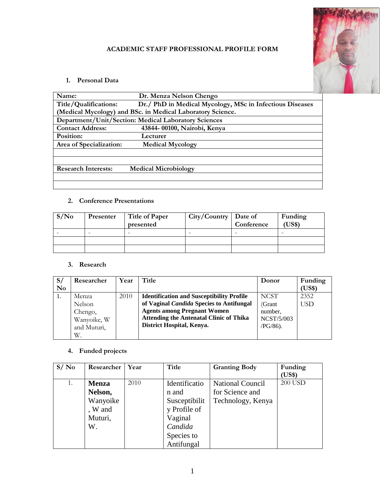

# **ACADEMIC STAFF PROFESSIONAL PROFILE FORM**

# **1. Personal Data**

| Name:                                                      | Dr. Menza Nelson Chengo                                  |  |  |  |
|------------------------------------------------------------|----------------------------------------------------------|--|--|--|
| Title/Qualifications:                                      | Dr./ PhD in Medical Mycology, MSc in Infectious Diseases |  |  |  |
| (Medical Mycology) and BSc. in Medical Laboratory Science. |                                                          |  |  |  |
|                                                            | Department/Unit/Section: Medical Laboratory Sciences     |  |  |  |
| <b>Contact Address:</b>                                    | 43844-00100, Nairobi, Kenya                              |  |  |  |
| Position:                                                  | Lecturer                                                 |  |  |  |
| Area of Specialization:                                    | <b>Medical Mycology</b>                                  |  |  |  |
|                                                            |                                                          |  |  |  |
|                                                            |                                                          |  |  |  |
| <b>Research Interests:</b>                                 | <b>Medical Microbiology</b>                              |  |  |  |
|                                                            |                                                          |  |  |  |
|                                                            |                                                          |  |  |  |

#### **2. Conference Presentations**

| S/N <sub>0</sub> | Presenter | <b>Title of Paper</b><br>presented | City/Country   Date of | Conference | Funding<br>(US\$) |
|------------------|-----------|------------------------------------|------------------------|------------|-------------------|
|                  |           |                                    |                        |            |                   |
|                  |           |                                    |                        |            |                   |
|                  |           |                                    |                        |            |                   |

#### **3. Research**

| S/<br>N <sub>0</sub> | Researcher                                | Year | Title                                                                                                                                                                                | Donor                                                  | Funding<br>(US\$) |
|----------------------|-------------------------------------------|------|--------------------------------------------------------------------------------------------------------------------------------------------------------------------------------------|--------------------------------------------------------|-------------------|
| 1.                   | Menza<br>Nelson<br>Chengo,<br>Wanyoike, W | 2010 | <b>Identification and Susceptibility Profile</b><br>of Vaginal Candida Species to Antifungal<br><b>Agents among Pregnant Women</b><br><b>Attending the Antenatal Clinic of Thika</b> | <b>NCST</b><br>(Grant)<br>number,<br><b>NCST/5/003</b> | 2352<br>USD       |
|                      | and Muturi,<br>W.                         |      | District Hospital, Kenya.                                                                                                                                                            | $PG/86$ ).                                             |                   |

# **4. Funded projects**

| S/No | Researcher   | Year | Title         | <b>Granting Body</b>    | Funding<br>(US\$) |
|------|--------------|------|---------------|-------------------------|-------------------|
| 1.   | <b>Menza</b> | 2010 | Identificatio | <b>National Council</b> | <b>200 USD</b>    |
|      | Nelson,      |      | n and         | for Science and         |                   |
|      | Wanyoike     |      | Susceptibilit | Technology, Kenya       |                   |
|      | , W and      |      | y Profile of  |                         |                   |
|      | Muturi,      |      | Vaginal       |                         |                   |
|      | W.           |      | Candida       |                         |                   |
|      |              |      | Species to    |                         |                   |
|      |              |      | Antifungal    |                         |                   |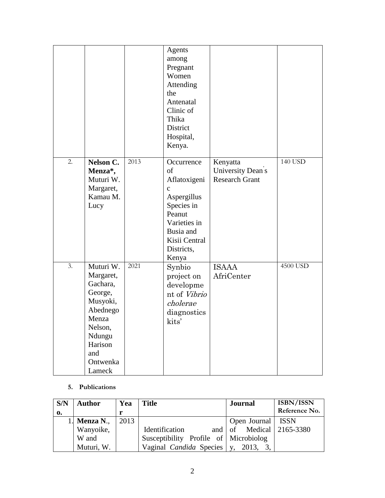|    |                                                                                                                                             |      | Agents<br>among<br>Pregnant<br>Women<br>Attending<br>the<br>Antenatal<br>Clinic of<br>Thika<br>District<br>Hospital,<br>Kenya.                              |                                                        |          |
|----|---------------------------------------------------------------------------------------------------------------------------------------------|------|-------------------------------------------------------------------------------------------------------------------------------------------------------------|--------------------------------------------------------|----------|
| 2. | <b>Nelson C.</b><br>Menza <sup>*</sup> ,<br>Muturi W.<br>Margaret,<br>Kamau M.<br>Lucy                                                      | 2013 | Occurrence<br>of<br>Aflatoxigeni<br>$\mathbf c$<br>Aspergillus<br>Species in<br>Peanut<br>Varieties in<br>Busia and<br>Kisii Central<br>Districts,<br>Kenya | Kenyatta<br>University Dean's<br><b>Research Grant</b> | 140 USD  |
| 3. | Muturi W.<br>Margaret,<br>Gachara,<br>George,<br>Musyoki,<br>Abednego<br>Menza<br>Nelson,<br>Ndungu<br>Harison<br>and<br>Ontwenka<br>Lameck | 2021 | Synbio<br>project on<br>developme<br>nt of Vibrio<br>cholerae<br>diagnostics<br>kits'                                                                       | <b>ISAAA</b><br>AfriCenter                             | 4500 USD |

#### **5. Publications**

| S/N | <b>Author</b> | Yea  | <b>Title</b>                           | <b>Journal</b>                   | <b>ISBN/ISSN</b><br>Reference No. |
|-----|---------------|------|----------------------------------------|----------------------------------|-----------------------------------|
| 0.  |               |      |                                        |                                  |                                   |
|     | 1. Menza N.,  | 2013 |                                        | Open Journal                     | ISSN                              |
|     | Wanyoike,     |      | Identification                         | and of Medical $\vert$ 2165-3380 |                                   |
|     | W and         |      | Susceptibility Profile of Microbiolog  |                                  |                                   |
|     | Muturi, W.    |      | Vaginal <i>Candida</i> Species   $y$ , | 2013,                            |                                   |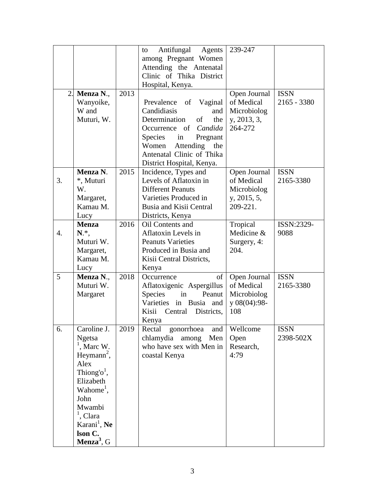|                  |                          |      | Antifungal<br>Agents<br>to  | 239-247         |               |
|------------------|--------------------------|------|-----------------------------|-----------------|---------------|
|                  |                          |      | among Pregnant Women        |                 |               |
|                  |                          |      | Attending the Antenatal     |                 |               |
|                  |                          |      | Clinic of Thika District    |                 |               |
|                  |                          |      | Hospital, Kenya.            |                 |               |
| 2.               | Menza N.,                | 2013 |                             | Open Journal    | <b>ISSN</b>   |
|                  |                          |      | of Vaginal<br>Prevalence    | of Medical      | $2165 - 3380$ |
|                  | Wanyoike,                |      |                             |                 |               |
|                  | W and                    |      | Candidiasis<br>and          | Microbiolog     |               |
|                  | Muturi, W.               |      | Determination<br>of<br>the  | y, 2013, 3,     |               |
|                  |                          |      | Candida<br>Occurrence of    | 264-272         |               |
|                  |                          |      | Species<br>Pregnant<br>in   |                 |               |
|                  |                          |      | Women<br>Attending the      |                 |               |
|                  |                          |      | Antenatal Clinic of Thika   |                 |               |
|                  |                          |      | District Hospital, Kenya.   |                 |               |
|                  | Menza N.                 | 2015 | Incidence, Types and        | Open Journal    | <b>ISSN</b>   |
| 3.               | *, Muturi                |      | Levels of Aflatoxin in      | of Medical      | 2165-3380     |
|                  | W.                       |      | <b>Different Peanuts</b>    | Microbiolog     |               |
|                  | Margaret,                |      | Varieties Produced in       | y, 2015, 5,     |               |
|                  | Kamau M.                 |      | Busia and Kisii Central     | 209-221.        |               |
|                  | Lucy                     |      | Districts, Kenya            |                 |               |
|                  | <b>Menza</b>             | 2016 | Oil Contents and            | Tropical        | ISSN:2329-    |
| $\overline{4}$ . | N.*,                     |      | Aflatoxin Levels in         | Medicine &      | 9088          |
|                  | Muturi W.                |      | <b>Peanuts Varieties</b>    | Surgery, 4:     |               |
|                  | Margaret,                |      | Produced in Busia and       | 204.            |               |
|                  | Kamau M.                 |      |                             |                 |               |
|                  |                          |      | Kisii Central Districts,    |                 |               |
|                  | Lucy                     |      | Kenya                       |                 |               |
| 5                | Menza N.,                | 2018 | of<br>Occurrence            | Open Journal    | <b>ISSN</b>   |
|                  | Muturi W.                |      | Aflatoxigenic Aspergillus   | of Medical      | 2165-3380     |
|                  | Margaret                 |      | Species<br>Peanut<br>in     | Microbiolog     |               |
|                  |                          |      | Varieties in Busia<br>and   | y $08(04):98$ - |               |
|                  |                          |      | Kisii<br>Central Districts, | 108             |               |
|                  |                          |      | Kenya                       |                 |               |
| 6.               | Caroline J.              | 2019 | Rectal<br>gonorrhoea<br>and | Wellcome        | <b>ISSN</b>   |
|                  | <b>Ngetsa</b>            |      | chlamydia among<br>Men      | Open            | 2398-502X     |
|                  | , Marc W.                |      | who have sex with Men in    | Research,       |               |
|                  | Heymann <sup>2</sup> ,   |      | coastal Kenya               | 4:79            |               |
|                  | Alex                     |      |                             |                 |               |
|                  | Thiong' <sup>o'</sup> ,  |      |                             |                 |               |
|                  | Elizabeth                |      |                             |                 |               |
|                  | Wahome <sup>1</sup> ,    |      |                             |                 |               |
|                  | John                     |      |                             |                 |               |
|                  | Mwambi                   |      |                             |                 |               |
|                  | $1$ , Clara              |      |                             |                 |               |
|                  | Karani <sup>1</sup> , Ne |      |                             |                 |               |
|                  |                          |      |                             |                 |               |
|                  | lson C.                  |      |                             |                 |               |
|                  | Menza <sup>3</sup> , $G$ |      |                             |                 |               |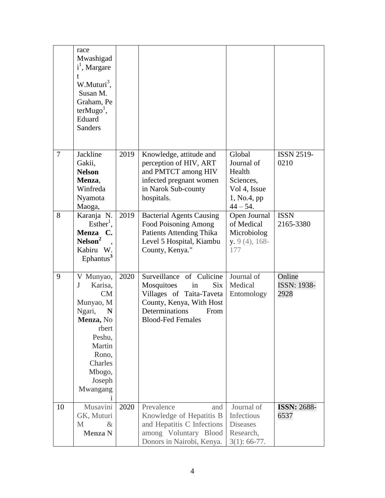|        | race<br>Mwashigad<br>i <sup>1</sup> , Margare<br>t<br>W.Muturi <sup>3</sup> ,<br>Susan M.<br>Graham, Pe<br>$terMugo1$ ,<br>Eduard<br><b>Sanders</b>       |      |                                                                                                                                                                          |                                                                                          |                                      |
|--------|-----------------------------------------------------------------------------------------------------------------------------------------------------------|------|--------------------------------------------------------------------------------------------------------------------------------------------------------------------------|------------------------------------------------------------------------------------------|--------------------------------------|
| $\tau$ | Jackline<br>Gakii,<br><b>Nelson</b><br>Menza,<br>Winfreda<br>Nyamota<br>Maoga,                                                                            | 2019 | Knowledge, attitude and<br>perception of HIV, ART<br>and PMTCT among HIV<br>infected pregnant women<br>in Narok Sub-county<br>hospitals.                                 | Global<br>Journal of<br>Health<br>Sciences,<br>Vol 4, Issue<br>1, No.4, pp<br>$44 - 54.$ | <b>ISSN 2519-</b><br>0210            |
| 8      | Karanja N.<br>$Esther1$ ,<br><b>Menza</b><br>C.<br>Nelson <sup>2</sup><br>Kabiru<br>W.<br>Ephantus <sup>3</sup>                                           | 2019 | <b>Bacterial Agents Causing</b><br><b>Food Poisoning Among</b><br><b>Patients Attending Thika</b><br>Level 5 Hospital, Kiambu<br>County, Kenya."                         | Open Journal<br>of Medical<br>Microbiolog<br>$y. 9(4)$ , 168-<br>177                     | <b>ISSN</b><br>2165-3380             |
| 9      | V Munyao,<br>J<br>Karisa,<br>CM<br>Munyao, M<br>Ngari,<br>N<br>Menza, No<br>rbert<br>Peshu,<br>Martin<br>Rono,<br>Charles<br>Mbogo,<br>Joseph<br>Mwangang | 2020 | Surveillance of Culicine<br><b>Six</b><br>Mosquitoes<br>in<br>Villages of Taita-Taveta<br>County, Kenya, With Host<br>Determinations<br>From<br><b>Blood-Fed Females</b> | Journal of<br>Medical<br>Entomology                                                      | Online<br><b>ISSN: 1938-</b><br>2928 |
| 10     | Musavini<br>GK, Muturi<br>M<br>$\&$<br><b>Menza N</b>                                                                                                     | 2020 | Prevalence<br>and<br>Knowledge of Hepatitis B<br>and Hepatitis C Infections<br>among Voluntary Blood<br>Donors in Nairobi, Kenya.                                        | Journal of<br>Infectious<br><b>Diseases</b><br>Research,<br>$3(1): 66-77.$               | <b>ISSN: 2688-</b><br>6537           |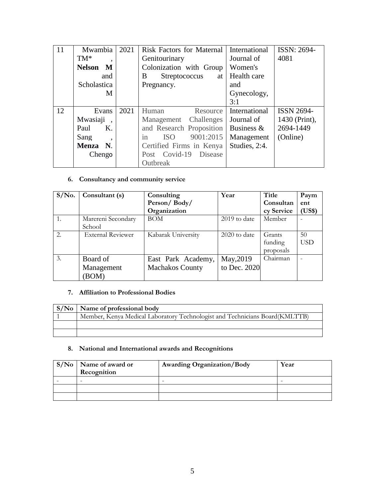| 11 | Mwambia                          | 2021 | <b>Risk Factors for Maternal</b> | International | ISSN: 2694-       |
|----|----------------------------------|------|----------------------------------|---------------|-------------------|
|    | $TM^*$                           |      | Genitourinary                    | Journal of    | 4081              |
|    | <b>Nelson</b><br>M               |      | Colonization with Group          | Women's       |                   |
|    | and                              |      | B<br>Streptococcus<br>at         | Health care   |                   |
|    | Scholastica                      |      | Pregnancy.                       | and           |                   |
|    | M                                |      |                                  | Gynecology,   |                   |
|    |                                  |      |                                  | 3:1           |                   |
| 12 | Evans                            | 2021 | Human<br>Resource                | International | <b>ISSN 2694-</b> |
|    | Mwasiaji<br>$\ddot{\phantom{1}}$ |      | Management Challenges            | Journal of    | 1430 (Print),     |
|    | Paul<br>Κ.                       |      | and Research Proposition         | Business $\&$ | 2694-1449         |
|    | Sang<br>$\cdot$                  |      | 9001:2015<br><b>ISO</b><br>in    | Management    | (Online)          |
|    | Menza N.                         |      | Certified Firms in Kenya         | Studies, 2:4. |                   |
|    | Chengo                           |      | Post Covid-19<br>Disease         |               |                   |
|    |                                  |      | Outbreak                         |               |                   |

# **6. Consultancy and community service**

| $S/N0$ . | Consultant (s)           | Consulting             | Year           | Title      | Paym       |
|----------|--------------------------|------------------------|----------------|------------|------------|
|          |                          | Person/Body/           |                | Consultan  | ent        |
|          |                          | Organization           |                | cy Service | (US\$)     |
|          | Marereni Secondary       | <b>BOM</b>             | 2019 to date   | Member     |            |
|          | School                   |                        |                |            |            |
| 2.       | <b>External Reviewer</b> | Kabarak University     | $2020$ to date | Grants     | 50         |
|          |                          |                        |                | funding    | <b>USD</b> |
|          |                          |                        |                | proposals  |            |
| 3.       | Board of                 | East Park Academy,     | May, 2019      | Chairman   |            |
|          | Management               | <b>Machakos County</b> | to Dec. 2020   |            |            |
|          | <b>BOM</b>               |                        |                |            |            |

# **7. Affiliation to Professional Bodies**

| $\vert S/N_0 \vert$ Name of professional body                               |
|-----------------------------------------------------------------------------|
| Member, Kenya Medical Laboratory Technologist and Technicians Board(KMLTTB) |
|                                                                             |
|                                                                             |

#### **8. National and International awards and Recognitions**

| $S/No$ Name of award or<br>Recognition | <b>Awarding Organization/Body</b> | Year |
|----------------------------------------|-----------------------------------|------|
|                                        | ۰                                 |      |
|                                        |                                   |      |
|                                        |                                   |      |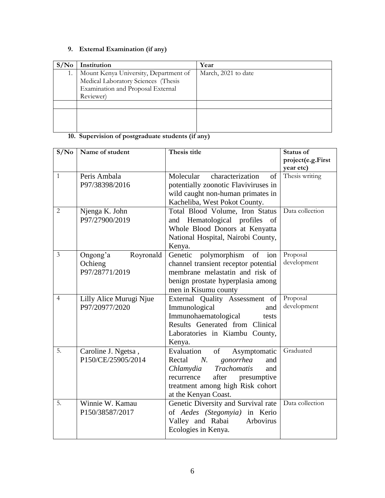# **9. External Examination (if any)**

|    | Institution                           | Year                |
|----|---------------------------------------|---------------------|
| 1. | Mount Kenya University, Department of | March, 2021 to date |
|    | Medical Laboratory Sciences (Thesis   |                     |
|    | Examination and Proposal External     |                     |
|    | Reviewer)                             |                     |
|    |                                       |                     |
|    |                                       |                     |
|    |                                       |                     |
|    |                                       |                     |

# **10. Supervision of postgraduate students (if any)**

| S/N <sub>0</sub> | Name of student         | Thesis title                              | <b>Status of</b>  |
|------------------|-------------------------|-------------------------------------------|-------------------|
|                  |                         |                                           | project(e.g.First |
|                  |                         |                                           | year etc)         |
| $\mathbf{1}$     | Peris Ambala            | Molecular<br>characterization<br>of       | Thesis writing    |
|                  | P97/38398/2016          | potentially zoonotic Flaviviruses in      |                   |
|                  |                         | wild caught non-human primates in         |                   |
|                  |                         | Kacheliba, West Pokot County.             |                   |
| 2                | Njenga K. John          | Total Blood Volume, Iron Status           | Data collection   |
|                  | P97/27900/2019          | and Hematological profiles<br>- of        |                   |
|                  |                         | Whole Blood Donors at Kenyatta            |                   |
|                  |                         | National Hospital, Nairobi County,        |                   |
|                  |                         | Kenya.                                    |                   |
| 3                | Ongong'a<br>Royronald   | polymorphism<br>Genetic<br>of<br>ion      | Proposal          |
|                  | Ochieng                 | channel transient receptor potential      | development       |
|                  | P97/28771/2019          | membrane melastatin and risk of           |                   |
|                  |                         | benign prostate hyperplasia among         |                   |
|                  |                         | men in Kisumu county                      |                   |
| $\overline{4}$   | Lilly Alice Murugi Njue | External Quality Assessment of            | Proposal          |
|                  | P97/20977/2020          | Immunological<br>and                      | development       |
|                  |                         | Immunohaematological<br>tests             |                   |
|                  |                         | Results Generated from Clinical           |                   |
|                  |                         | Laboratories in Kiambu County,            |                   |
|                  |                         | Kenya.                                    |                   |
| 5.               | Caroline J. Ngetsa,     | Evaluation<br>of<br>Asymptomatic          | Graduated         |
|                  | P150/CE/25905/2014      | Rectal<br>$N_{\rm c}$<br>gonorrhea<br>and |                   |
|                  |                         | <b>Trachomatis</b><br>Chlamydia<br>and    |                   |
|                  |                         | presumptive<br>recurrence<br>after        |                   |
|                  |                         | treatment among high Risk cohort          |                   |
|                  |                         | at the Kenyan Coast.                      |                   |
| 5.               | Winnie W. Kamau         | Genetic Diversity and Survival rate       | Data collection   |
|                  | P150/38587/2017         | of Aedes (Stegomyia) in Kerio             |                   |
|                  |                         | Valley and Rabai<br>Arbovirus             |                   |
|                  |                         | Ecologies in Kenya.                       |                   |
|                  |                         |                                           |                   |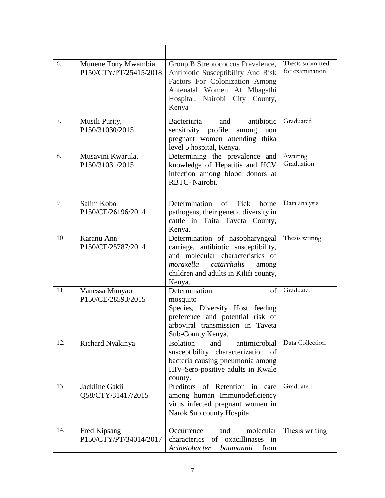| 6.  | Munene Tony Mwambia<br>P150/CTY/PT/25415/2018 | Group B Streptococcus Prevalence,<br>Antibiotic Susceptibility And Risk<br>Factors For Colonization Among<br>Antenatal Women At Mbagathi<br>Hospital, Nairobi City County,<br>Kenya                 | Thesis submitted<br>for examination |
|-----|-----------------------------------------------|-----------------------------------------------------------------------------------------------------------------------------------------------------------------------------------------------------|-------------------------------------|
| 7.  | Musili Purity,<br>P150/31030/2015             | antibiotic<br><b>Bacteriuria</b><br>and<br>sensitivity profile<br>among<br>non<br>pregnant women attending thika<br>level 5 hospital, Kenya.                                                        | Graduated                           |
| 8.  | Musavini Kwarula,<br>P150/31031/2015          | Determining the prevalence and<br>knowledge of Hepatitis and HCV<br>infection among blood donors at<br>RBTC-Nairobi.                                                                                | Awaiting<br>Graduation              |
| 9   | Salim Kobo<br>P150/CE/26196/2014              | Determination<br>of<br><b>Tick</b><br>borne<br>pathogens, their genetic diversity in<br>cattle in Taita Taveta County,<br>Kenya.                                                                    | Data analysis                       |
| 10  | Karanu Ann<br>P150/CE/25787/2014              | Determination of nasopharyngeal<br>carriage, antibiotic susceptibility,<br>and molecular characteristics of<br>moraxella<br>catarrhalis<br>among<br>children and adults in Kilifi county,<br>Kenya. | Thesis writing                      |
| 11  | Vanessa Munyao<br>P150/CE/28593/2015          | Determination<br>of<br>mosquito<br>Species, Diversity Host feeding<br>preference and potential risk of<br>arboviral transmission in Taveta<br>Sub-County Kenya.                                     | Graduated                           |
| 12. | Richard Nyakinya                              | antimicrobial<br><b>Isolation</b><br>and<br>susceptibility characterization of<br>bacteria causing pneumonia among<br>HIV-Sero-positive adults in Kwale<br>county.                                  | Data Collection                     |
| 13. | Jackline Gakii<br>Q58/CTY/31417/2015          | Preditors<br>of Retention in<br>care<br>among human Immunodeficiency<br>virus infected pregnant women in<br>Narok Sub county Hospital.                                                              | Graduated                           |
| 14. | Fred Kipsang<br>P150/CTY/PT/34014/2017        | molecular<br>Occurrence<br>and<br>characterics<br>of oxacillinases in<br>Acinetobacter<br>from<br>baumannii                                                                                         | Thesis writing                      |